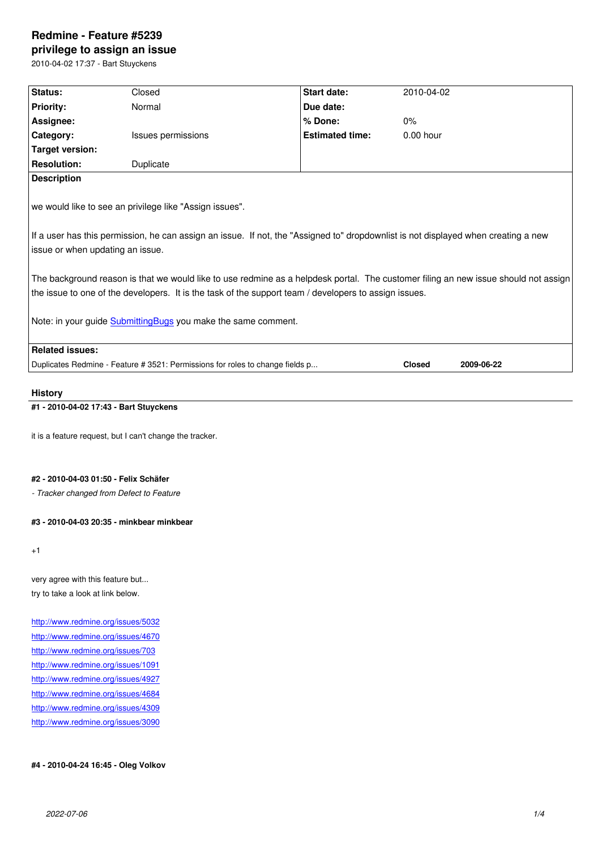#### **privilege to assign an issue**

2010-04-02 17:37 - Bart Stuyckens

| Status:                                                                                                                                                                                                                                                                                                        | Closed             | Start date:            | 2010-04-02    |            |
|----------------------------------------------------------------------------------------------------------------------------------------------------------------------------------------------------------------------------------------------------------------------------------------------------------------|--------------------|------------------------|---------------|------------|
| <b>Priority:</b>                                                                                                                                                                                                                                                                                               | Normal             | Due date:              |               |            |
| Assignee:                                                                                                                                                                                                                                                                                                      |                    | % Done:                | 0%            |            |
| Category:                                                                                                                                                                                                                                                                                                      | Issues permissions | <b>Estimated time:</b> | $0.00$ hour   |            |
| <b>Target version:</b>                                                                                                                                                                                                                                                                                         |                    |                        |               |            |
| <b>Resolution:</b>                                                                                                                                                                                                                                                                                             | Duplicate          |                        |               |            |
| <b>Description</b>                                                                                                                                                                                                                                                                                             |                    |                        |               |            |
| we would like to see an privilege like "Assign issues".<br>If a user has this permission, he can assign an issue. If not, the "Assigned to" dropdownlist is not displayed when creating a new<br>issue or when updating an issue.                                                                              |                    |                        |               |            |
| The background reason is that we would like to use redmine as a helpdesk portal. The customer filing an new issue should not assign<br>the issue to one of the developers. It is the task of the support team / developers to assign issues.<br>Note: in your guide Submitting Bugs you make the same comment. |                    |                        |               |            |
| <b>Related issues:</b>                                                                                                                                                                                                                                                                                         |                    |                        |               |            |
| Duplicates Redmine - Feature # 3521: Permissions for roles to change fields p                                                                                                                                                                                                                                  |                    |                        | <b>Closed</b> | 2009-06-22 |
|                                                                                                                                                                                                                                                                                                                |                    |                        |               |            |
| <b>History</b>                                                                                                                                                                                                                                                                                                 |                    |                        |               |            |

#### **#1 - 2010-04-02 17:43 - Bart Stuyckens**

it is a feature request, but I can't change the tracker.

#### **#2 - 2010-04-03 01:50 - Felix Schäfer**

*- Tracker changed from Defect to Feature*

# **#3 - 2010-04-03 20:35 - minkbear minkbear**

+1

very agree with this feature but... try to take a look at link below.

http://www.redmine.org/issues/5032 http://www.redmine.org/issues/4670 http://www.redmine.org/issues/703 http://www.redmine.org/issues/1091 [http://www.redmine.org/issues/4927](http://www.redmine.org/issues/4670) [http://www.redmine.org/issues/4684](http://www.redmine.org/issues/703) [http://www.redmine.org/issues/4309](http://www.redmine.org/issues/1091) [http://www.redmine.org/issues/3090](http://www.redmine.org/issues/4927)

#### **[#4 - 2010-04-24 16:45 - Oleg Volko](http://www.redmine.org/issues/4309)v**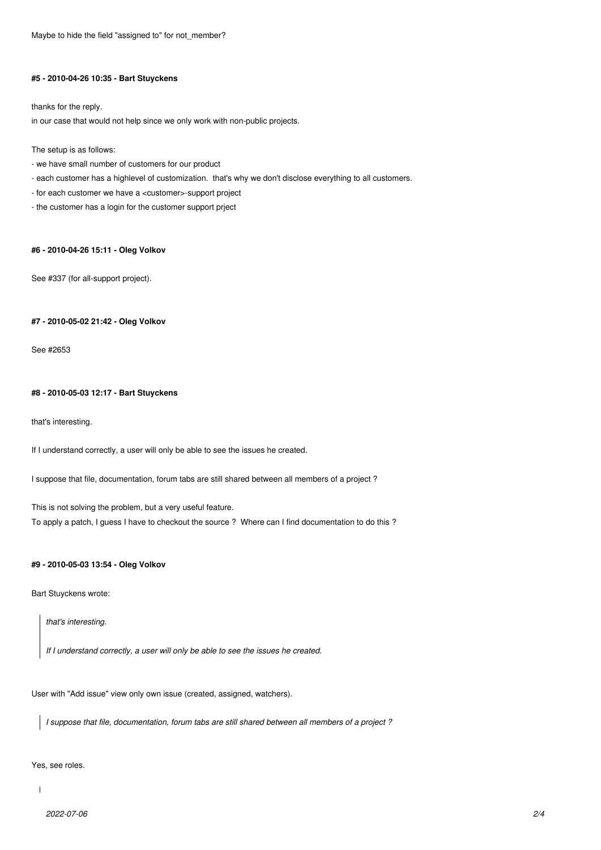Maybe to hide the field "assigned to" for not member?

#### **#5 - 2010-04-26 10:35 - Bart Stuyckens**

thanks for the reply.

in our case that would not help since we only work with non-public projects.

The setup is as follows:

- we have small number of customers for our product
- each customer has a highlevel of customization. that's why we don't disclose everything to all customers.
- for each customer we have a <customer>-support project
- the customer has a login for the customer support prject

# **#6 - 2010-04-26 15:11 - Oleg Volkov**

See #337 (for all-support project).

#### **#7 - 2010-05-02 21:42 - Oleg Volkov**

See #2653

#### **#8 - 2010-05-03 12:17 - Bart Stuyckens**

that's interesting.

If I understand correctly, a user will only be able to see the issues he created.

I suppose that file, documentation, forum tabs are still shared between all members of a project ?

This is not solving the problem, but a very useful feature.

To apply a patch, I guess I have to checkout the source ? Where can I find documentation to do this ?

#### **#9 - 2010-05-03 13:54 - Oleg Volkov**

Bart Stuyckens wrote:

*that's interesting.*

*If I understand correctly, a user will only be able to see the issues he created.*

User with "Add issue" view only own issue (created, assigned, watchers).

*I suppose that file, documentation, forum tabs are still shared between all members of a project ?*

Yes, see roles.

 $\overline{1}$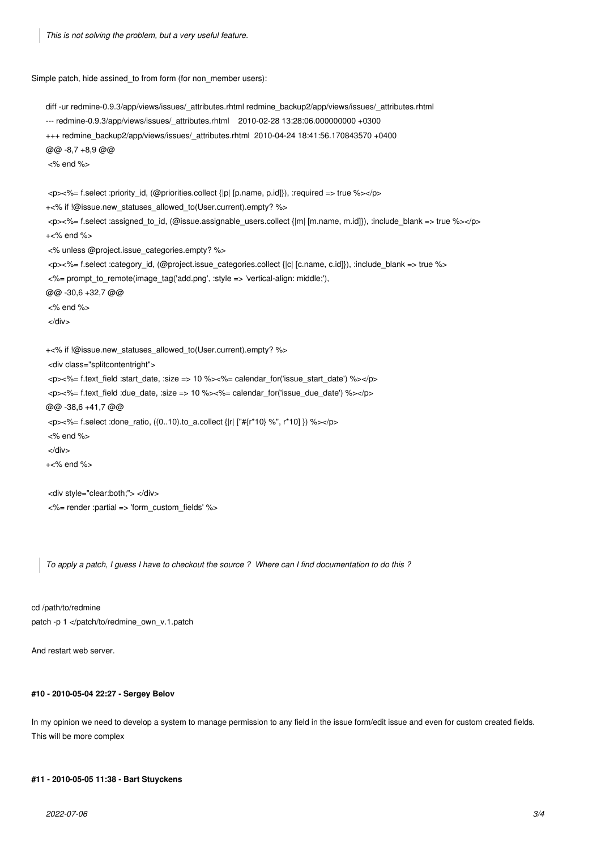*This is not solving the problem, but a very useful feature.*

Simple patch, hide assined\_to from form (for non\_member users):

diff -ur redmine-0.9.3/app/views/issues/\_attributes.rhtml redmine\_backup2/app/views/issues/\_attributes.rhtml --- redmine-0.9.3/app/views/issues/\_attributes.rhtml 2010-02-28 13:28:06.000000000 +0300 +++ redmine\_backup2/app/views/issues/\_attributes.rhtml 2010-04-24 18:41:56.170843570 +0400 @@ -8,7 +8,9 @@ <% end %> <p><%= f.select :priority\_id, (@priorities.collect {|p| [p.name, p.id]}), :required => true %></p> +<% if !@issue.new\_statuses\_allowed\_to(User.current).empty? %> <p><%= f.select :assigned\_to\_id, (@issue.assignable\_users.collect {|m| [m.name, m.id]}), :include\_blank => true %></p> +<% end %> <% unless @project.issue\_categories.empty? %> <p><%= f.select :category\_id, (@project.issue\_categories.collect {|c| [c.name, c.id]}), :include\_blank => true %> <%= prompt\_to\_remote(image\_tag('add.png', :style => 'vertical-align: middle;'), @@ -30,6 +32,7 @@ <% end %> </div> +<% if !@issue.new\_statuses\_allowed\_to(User.current).empty? %> <div class="splitcontentright"> <p><%= f.text\_field :start\_date, :size => 10 %><%= calendar\_for('issue\_start\_date') %></p> <p><%= f.text\_field :due\_date, :size => 10 %><%= calendar\_for('issue\_due\_date') %></p> @@ -38,6 +41,7 @@ <p><%= f.select :done\_ratio, ((0..10).to\_a.collect {|r| ["#{r\*10} %", r\*10] }) %></p> <% end %> </div> +<% end %> <div style="clear:both;"> </div> <%= render :partial => 'form\_custom\_fields' %>

*To apply a patch, I guess I have to checkout the source ? Where can I find documentation to do this ?*

cd /path/to/redmine patch -p 1 </patch/to/redmine\_own\_v.1.patch

And restart web server.

### **#10 - 2010-05-04 22:27 - Sergey Belov**

In my opinion we need to develop a system to manage permission to any field in the issue form/edit issue and even for custom created fields. This will be more complex

## **#11 - 2010-05-05 11:38 - Bart Stuyckens**